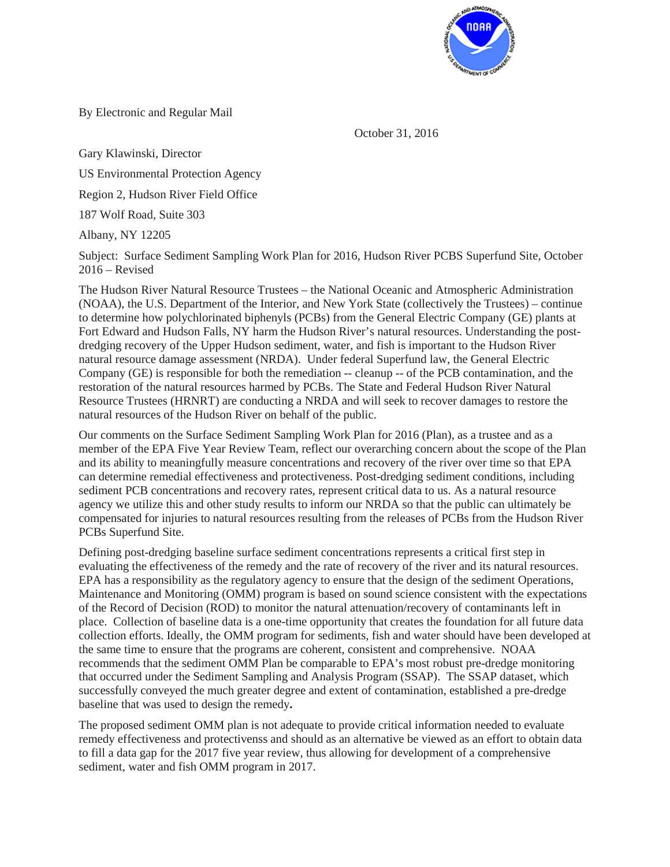

By Electronic and Regular Mail

October 31, 2016

Gary Klawinski, Director

US Environmental Protection Agency

Region 2, Hudson River Field Office

187 Wolf Road, Suite 303

Albany, NY 12205

Subject: Surface Sediment Sampling Work Plan for 2016, Hudson River PCBS Superfund Site, October  $2016 -$ Revised

The Hudson River Natural Resource Trustees – the National Oceanic and Atmospheric Administration (NOAA), the U.S. Department of the Interior, and New York State (collectively the Trustees) – continue to determine how polychlorinated biphenyls (PCBs) from the General Electric Company (GE) plants at Fort Edward and Hudson Falls, NY harm the Hudson River's natural resources. Understanding the postdredging recovery of the Upper Hudson sediment, water, and fish is important to the Hudson River natural resource damage assessment (NRDA). Under federal Superfund law, the General Electric Company (GE) is responsible for both the remediation -- cleanup -- of the PCB contamination, and the restoration of the natural resources harmed by PCBs. The State and Federal Hudson River Natural Resource Trustees (HRNRT) are conducting a NRDA and will seek to recover damages to restore the natural resources of the Hudson River on behalf of the public.

Our comments on the Surface Sediment Sampling Work Plan for 2016 (Plan), as a trustee and as a member of the EPA Five Year Review Team, reflect our overarching concern about the scope of the Plan and its ability to meaningfully measure concentrations and recovery of the river over time so that EPA can determine remedial effectiveness and protectiveness. Post-dredging sediment conditions, including sediment PCB concentrations and recovery rates, represent critical data to us. As a natural resource agency we utilize this and other study results to inform our NRDA so that the public can ultimately be compensated for injuries to natural resources resulting from the releases of PCBs from the Hudson River PCBs Superfund Site.

Defining post-dredging baseline surface sediment concentrations represents a critical first step in evaluating the effectiveness of the remedy and the rate of recovery of the river and its natural resources. EPA has a responsibility as the regulatory agency to ensure that the design of the sediment Operations, Maintenance and Monitoring (OMM) program is based on sound science consistent with the expectations of the Record of Decision (ROD) to monitor the natural attenuation/recovery of contaminants left in place. Collection of baseline data is a one-time opportunity that creates the foundation for all future data collection efforts. Ideally, the OMM program for sediments, fish and water should have been developed at the same time to ensure that the programs are coherent, consistent and comprehensive. NOAA recommends that the sediment OMM Plan be comparable to EPA's most robust pre-dredge monitoring that occurred under the Sediment Sampling and Analysis Program (SSAP). The SSAP dataset, which successfully conveyed the much greater degree and extent of contamination, established a pre-dredge baseline that was used to design the remedy**.**

The proposed sediment OMM plan is not adequate to provide critical information needed to evaluate remedy effectiveness and protectivenss and should as an alternative be viewed as an effort to obtain data to fill a data gap for the 2017 five year review, thus allowing for development of a comprehensive sediment, water and fish OMM program in 2017.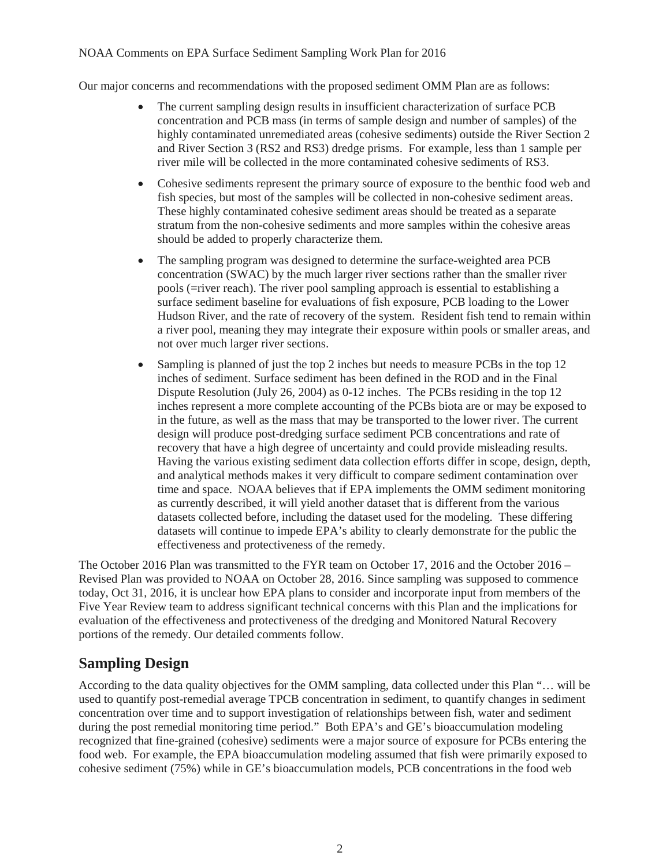#### NOAA Comments on EPA Surface Sediment Sampling Work Plan for 2016

Our major concerns and recommendations with the proposed sediment OMM Plan are as follows:

- The current sampling design results in insufficient characterization of surface PCB concentration and PCB mass (in terms of sample design and number of samples) of the highly contaminated unremediated areas (cohesive sediments) outside the River Section 2 and River Section 3 (RS2 and RS3) dredge prisms. For example, less than 1 sample per river mile will be collected in the more contaminated cohesive sediments of RS3.
- Cohesive sediments represent the primary source of exposure to the benthic food web and fish species, but most of the samples will be collected in non-cohesive sediment areas. These highly contaminated cohesive sediment areas should be treated as a separate stratum from the non-cohesive sediments and more samples within the cohesive areas should be added to properly characterize them.
- The sampling program was designed to determine the surface-weighted area PCB concentration (SWAC) by the much larger river sections rather than the smaller river pools (=river reach). The river pool sampling approach is essential to establishing a surface sediment baseline for evaluations of fish exposure, PCB loading to the Lower Hudson River, and the rate of recovery of the system. Resident fish tend to remain within a river pool, meaning they may integrate their exposure within pools or smaller areas, and not over much larger river sections.
- Sampling is planned of just the top 2 inches but needs to measure PCBs in the top 12 inches of sediment. Surface sediment has been defined in the ROD and in the Final Dispute Resolution (July 26, 2004) as 0-12 inches. The PCBs residing in the top 12 inches represent a more complete accounting of the PCBs biota are or may be exposed to in the future, as well as the mass that may be transported to the lower river. The current design will produce post-dredging surface sediment PCB concentrations and rate of recovery that have a high degree of uncertainty and could provide misleading results. Having the various existing sediment data collection efforts differ in scope, design, depth, and analytical methods makes it very difficult to compare sediment contamination over time and space. NOAA believes that if EPA implements the OMM sediment monitoring as currently described, it will yield another dataset that is different from the various datasets collected before, including the dataset used for the modeling. These differing datasets will continue to impede EPA's ability to clearly demonstrate for the public the effectiveness and protectiveness of the remedy.

The October 2016 Plan was transmitted to the FYR team on October 17, 2016 and the October 2016 – Revised Plan was provided to NOAA on October 28, 2016. Since sampling was supposed to commence today, Oct 31, 2016, it is unclear how EPA plans to consider and incorporate input from members of the Five Year Review team to address significant technical concerns with this Plan and the implications for evaluation of the effectiveness and protectiveness of the dredging and Monitored Natural Recovery portions of the remedy. Our detailed comments follow.

# **Sampling Design**

According to the data quality objectives for the OMM sampling, data collected under this Plan "… will be used to quantify post-remedial average TPCB concentration in sediment, to quantify changes in sediment concentration over time and to support investigation of relationships between fish, water and sediment during the post remedial monitoring time period." Both EPA's and GE's bioaccumulation modeling recognized that fine-grained (cohesive) sediments were a major source of exposure for PCBs entering the food web. For example, the EPA bioaccumulation modeling assumed that fish were primarily exposed to cohesive sediment (75%) while in GE's bioaccumulation models, PCB concentrations in the food web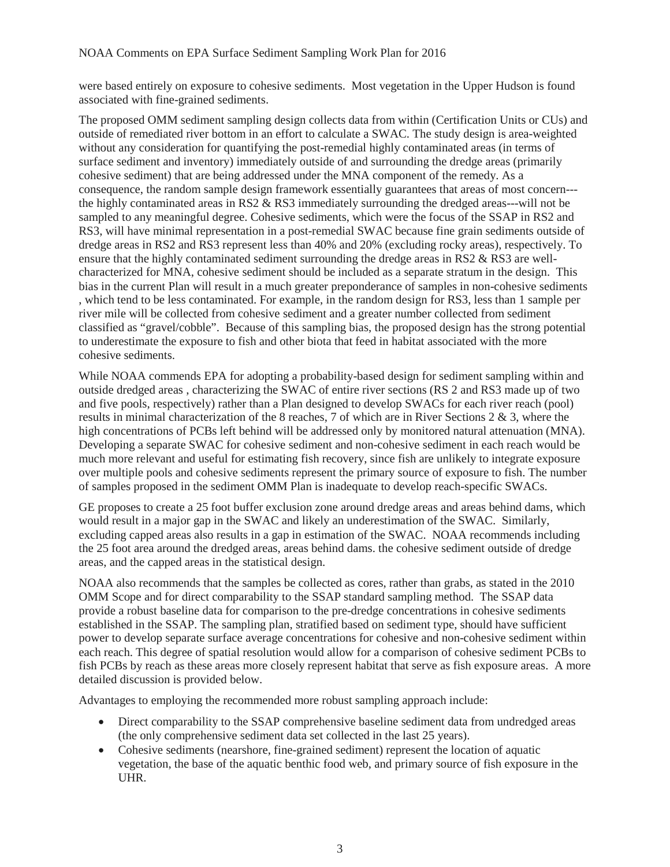were based entirely on exposure to cohesive sediments. Most vegetation in the Upper Hudson is found associated with fine-grained sediments.

The proposed OMM sediment sampling design collects data from within (Certification Units or CUs) and outside of remediated river bottom in an effort to calculate a SWAC. The study design is area-weighted without any consideration for quantifying the post-remedial highly contaminated areas (in terms of surface sediment and inventory) immediately outside of and surrounding the dredge areas (primarily cohesive sediment) that are being addressed under the MNA component of the remedy. As a consequence, the random sample design framework essentially guarantees that areas of most concern-- the highly contaminated areas in RS2 & RS3 immediately surrounding the dredged areas---will not be sampled to any meaningful degree. Cohesive sediments, which were the focus of the SSAP in RS2 and RS3, will have minimal representation in a post-remedial SWAC because fine grain sediments outside of dredge areas in RS2 and RS3 represent less than 40% and 20% (excluding rocky areas), respectively. To ensure that the highly contaminated sediment surrounding the dredge areas in RS2 & RS3 are wellcharacterized for MNA, cohesive sediment should be included as a separate stratum in the design. This bias in the current Plan will result in a much greater preponderance of samples in non-cohesive sediments , which tend to be less contaminated. For example, in the random design for RS3, less than 1 sample per river mile will be collected from cohesive sediment and a greater number collected from sediment classified as "gravel/cobble". Because of this sampling bias, the proposed design has the strong potential to underestimate the exposure to fish and other biota that feed in habitat associated with the more cohesive sediments.

While NOAA commends EPA for adopting a probability-based design for sediment sampling within and outside dredged areas , characterizing the SWAC of entire river sections (RS 2 and RS3 made up of two and five pools, respectively) rather than a Plan designed to develop SWACs for each river reach (pool) results in minimal characterization of the 8 reaches, 7 of which are in River Sections 2 & 3, where the high concentrations of PCBs left behind will be addressed only by monitored natural attenuation (MNA). Developing a separate SWAC for cohesive sediment and non-cohesive sediment in each reach would be much more relevant and useful for estimating fish recovery, since fish are unlikely to integrate exposure over multiple pools and cohesive sediments represent the primary source of exposure to fish. The number of samples proposed in the sediment OMM Plan is inadequate to develop reach-specific SWACs.

GE proposes to create a 25 foot buffer exclusion zone around dredge areas and areas behind dams, which would result in a major gap in the SWAC and likely an underestimation of the SWAC. Similarly, excluding capped areas also results in a gap in estimation of the SWAC. NOAA recommends including the 25 foot area around the dredged areas, areas behind dams. the cohesive sediment outside of dredge areas, and the capped areas in the statistical design.

NOAA also recommends that the samples be collected as cores, rather than grabs, as stated in the 2010 OMM Scope and for direct comparability to the SSAP standard sampling method. The SSAP data provide a robust baseline data for comparison to the pre-dredge concentrations in cohesive sediments established in the SSAP. The sampling plan, stratified based on sediment type, should have sufficient power to develop separate surface average concentrations for cohesive and non-cohesive sediment within each reach. This degree of spatial resolution would allow for a comparison of cohesive sediment PCBs to fish PCBs by reach as these areas more closely represent habitat that serve as fish exposure areas. A more detailed discussion is provided below.

Advantages to employing the recommended more robust sampling approach include:

- Direct comparability to the SSAP comprehensive baseline sediment data from undredged areas (the only comprehensive sediment data set collected in the last 25 years).
- Cohesive sediments (nearshore, fine-grained sediment) represent the location of aquatic vegetation, the base of the aquatic benthic food web, and primary source of fish exposure in the UHR.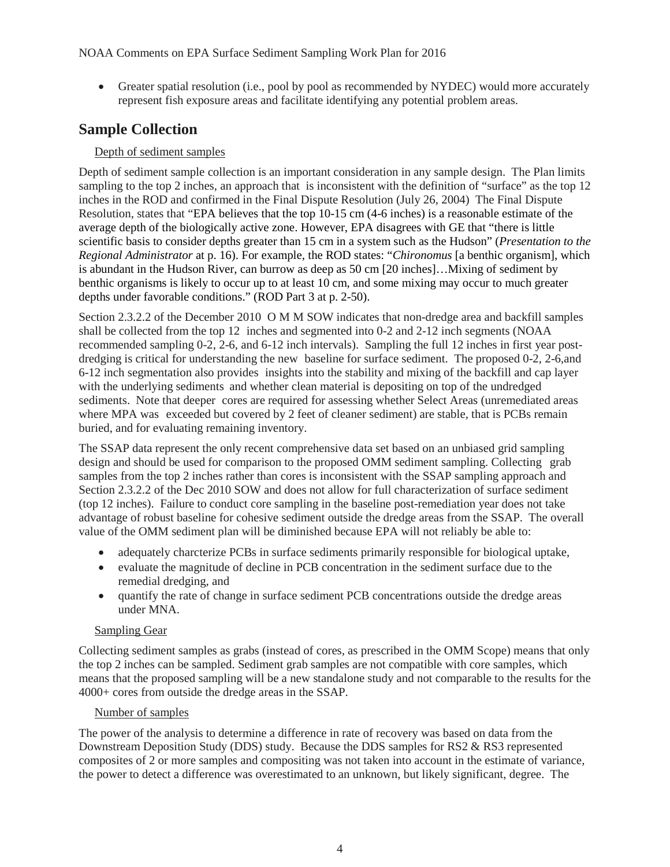• Greater spatial resolution (i.e., pool by pool as recommended by NYDEC) would more accurately represent fish exposure areas and facilitate identifying any potential problem areas.

### **Sample Collection**

#### Depth of sediment samples

Depth of sediment sample collection is an important consideration in any sample design. The Plan limits sampling to the top 2 inches, an approach that is inconsistent with the definition of "surface" as the top 12 inches in the ROD and confirmed in the Final Dispute Resolution (July 26, 2004) The Final Dispute Resolution, states that "EPA believes that the top 10-15 cm (4-6 inches) is a reasonable estimate of the average depth of the biologically active zone. However, EPA disagrees with GE that "there is little scientific basis to consider depths greater than 15 cm in a system such as the Hudson" (*Presentation to the Regional Administrator* at p. 16). For example, the ROD states: "*Chironomus* [a benthic organism], which is abundant in the Hudson River, can burrow as deep as 50 cm [20 inches]…Mixing of sediment by benthic organisms is likely to occur up to at least 10 cm, and some mixing may occur to much greater depths under favorable conditions." (ROD Part 3 at p. 2-50).

Section 2.3.2.2 of the December 2010 OMM SOW indicates that non-dredge area and backfill samples shall be collected from the top 12 inches and segmented into 0-2 and 2-12 inch segments (NOAA recommended sampling 0-2, 2-6, and 6-12 inch intervals). Sampling the full 12 inches in first year postdredging is critical for understanding the new baseline for surface sediment. The proposed 0-2, 2-6,and 6-12 inch segmentation also provides insights into the stability and mixing of the backfill and cap layer with the underlying sediments and whether clean material is depositing on top of the undredged sediments. Note that deeper cores are required for assessing whether Select Areas (unremediated areas where MPA was exceeded but covered by 2 feet of cleaner sediment) are stable, that is PCBs remain buried, and for evaluating remaining inventory.

The SSAP data represent the only recent comprehensive data set based on an unbiased grid sampling design and should be used for comparison to the proposed OMM sediment sampling. Collecting grab samples from the top 2 inches rather than cores is inconsistent with the SSAP sampling approach and Section 2.3.2.2 of the Dec 2010 SOW and does not allow for full characterization of surface sediment (top 12 inches). Failure to conduct core sampling in the baseline post-remediation year does not take advantage of robust baseline for cohesive sediment outside the dredge areas from the SSAP. The overall value of the OMM sediment plan will be diminished because EPA will not reliably be able to:

- adequately charcterize PCBs in surface sediments primarily responsible for biological uptake,
- evaluate the magnitude of decline in PCB concentration in the sediment surface due to the remedial dredging, and
- quantify the rate of change in surface sediment PCB concentrations outside the dredge areas under MNA.

#### Sampling Gear

Collecting sediment samples as grabs (instead of cores, as prescribed in the OMM Scope) means that only the top 2 inches can be sampled. Sediment grab samples are not compatible with core samples, which means that the proposed sampling will be a new standalone study and not comparable to the results for the 4000+ cores from outside the dredge areas in the SSAP.

#### Number of samples

The power of the analysis to determine a difference in rate of recovery was based on data from the Downstream Deposition Study (DDS) study. Because the DDS samples for RS2 & RS3 represented composites of 2 or more samples and compositing was not taken into account in the estimate of variance, the power to detect a difference was overestimated to an unknown, but likely significant, degree. The